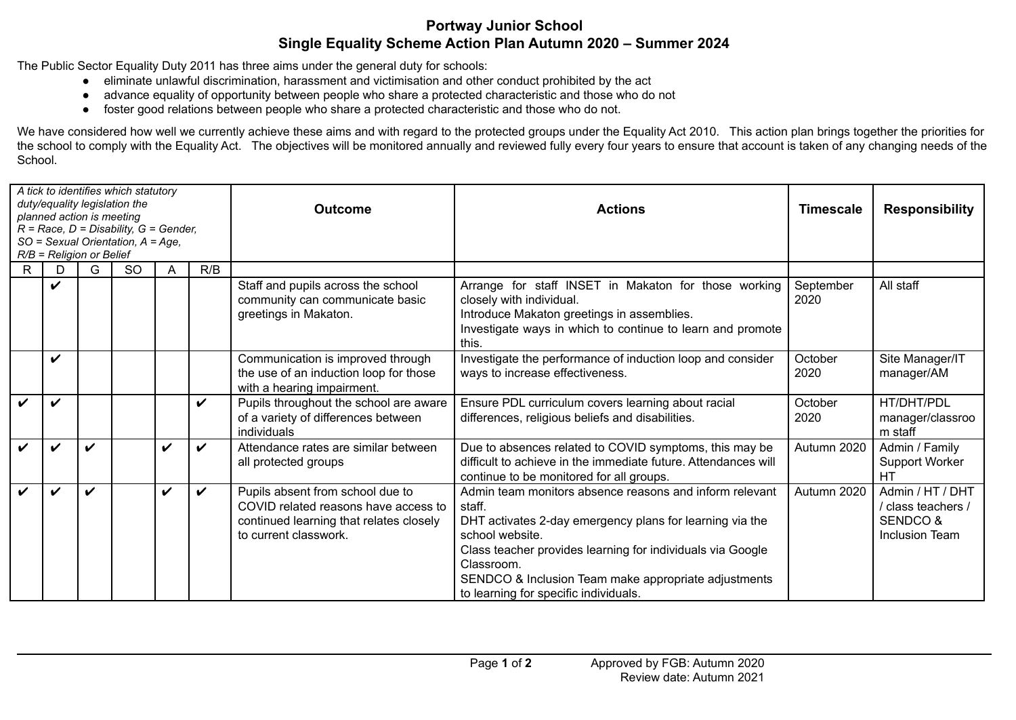## **Portway Junior School Single Equality Scheme Action Plan Autumn 2020 – Summer 2024**

The Public Sector Equality Duty 2011 has three aims under the general duty for schools:

- eliminate unlawful discrimination, harassment and victimisation and other conduct prohibited by the act
- advance equality of opportunity between people who share a protected characteristic and those who do not
- foster good relations between people who share a protected characteristic and those who do not.

We have considered how well we currently achieve these aims and with regard to the protected groups under the Equality Act 2010. This action plan brings together the priorities for the school to comply with the Equality Act. The objectives will be monitored annually and reviewed fully every four years to ensure that account is taken of any changing needs of the School.

| A tick to identifies which statutory<br>duty/equality legislation the<br>planned action is meeting<br>$R = Race, D = Disability, G = Gender,$<br>SO = Sexual Orientation, A = Age,<br>$R/B$ = Religion or Belief |              |   |               |   |                    | <b>Outcome</b>                                                                                                                               | <b>Actions</b>                                                                                                                                                                                                                                                                                                                | <b>Timescale</b>  | <b>Responsibility</b>                                                                  |
|------------------------------------------------------------------------------------------------------------------------------------------------------------------------------------------------------------------|--------------|---|---------------|---|--------------------|----------------------------------------------------------------------------------------------------------------------------------------------|-------------------------------------------------------------------------------------------------------------------------------------------------------------------------------------------------------------------------------------------------------------------------------------------------------------------------------|-------------------|----------------------------------------------------------------------------------------|
| R.                                                                                                                                                                                                               | D            | G | <sub>SO</sub> | A | R/B                |                                                                                                                                              |                                                                                                                                                                                                                                                                                                                               |                   |                                                                                        |
|                                                                                                                                                                                                                  | V            |   |               |   |                    | Staff and pupils across the school<br>community can communicate basic<br>greetings in Makaton.                                               | Arrange for staff INSET in Makaton for those working<br>closely with individual.<br>Introduce Makaton greetings in assemblies.<br>Investigate ways in which to continue to learn and promote<br>this.                                                                                                                         | September<br>2020 | All staff                                                                              |
|                                                                                                                                                                                                                  | V            |   |               |   |                    | Communication is improved through<br>the use of an induction loop for those<br>with a hearing impairment.                                    | Investigate the performance of induction loop and consider<br>ways to increase effectiveness.                                                                                                                                                                                                                                 | October<br>2020   | Site Manager/IT<br>manager/AM                                                          |
| $\boldsymbol{\nu}$                                                                                                                                                                                               | $\checkmark$ |   |               |   | $\boldsymbol{\nu}$ | Pupils throughout the school are aware<br>of a variety of differences between<br>individuals                                                 | Ensure PDL curriculum covers learning about racial<br>differences, religious beliefs and disabilities.                                                                                                                                                                                                                        | October<br>2020   | HT/DHT/PDL<br>manager/classroo<br>m staff                                              |
| $\boldsymbol{\nu}$                                                                                                                                                                                               | $\checkmark$ | ✓ |               | ✓ | $\boldsymbol{\nu}$ | Attendance rates are similar between<br>all protected groups                                                                                 | Due to absences related to COVID symptoms, this may be<br>difficult to achieve in the immediate future. Attendances will<br>continue to be monitored for all groups.                                                                                                                                                          | Autumn 2020       | Admin / Family<br><b>Support Worker</b><br><b>HT</b>                                   |
| $\boldsymbol{\nu}$                                                                                                                                                                                               | V            | ✓ |               | V | $\boldsymbol{\nu}$ | Pupils absent from school due to<br>COVID related reasons have access to<br>continued learning that relates closely<br>to current classwork. | Admin team monitors absence reasons and inform relevant<br>staff.<br>DHT activates 2-day emergency plans for learning via the<br>school website.<br>Class teacher provides learning for individuals via Google<br>Classroom.<br>SENDCO & Inclusion Team make appropriate adjustments<br>to learning for specific individuals. | Autumn 2020       | Admin / HT / DHT<br>/ class teachers /<br><b>SENDCO &amp;</b><br><b>Inclusion Team</b> |